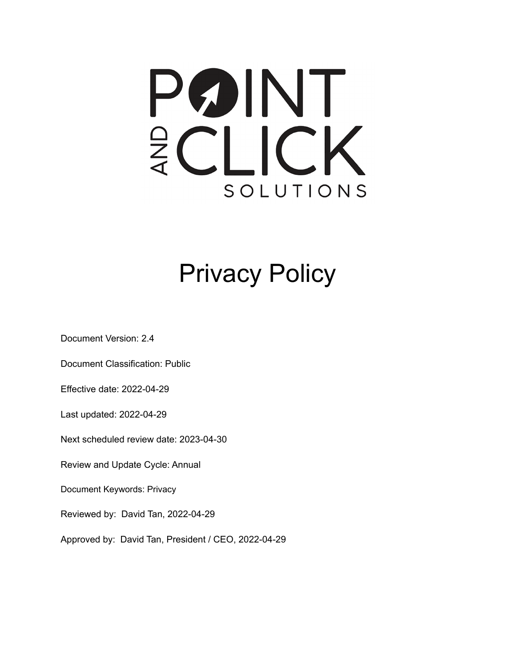## PØINT ECLICK SOLUTIONS

## Privacy Policy

Document Version: 2.4

Document Classification: Public

Effective date: 2022-04-29

Last updated: 2022-04-29

Next scheduled review date: 2023-04-30

Review and Update Cycle: Annual

Document Keywords: Privacy

Reviewed by: David Tan, 2022-04-29

Approved by: David Tan, President / CEO, 2022-04-29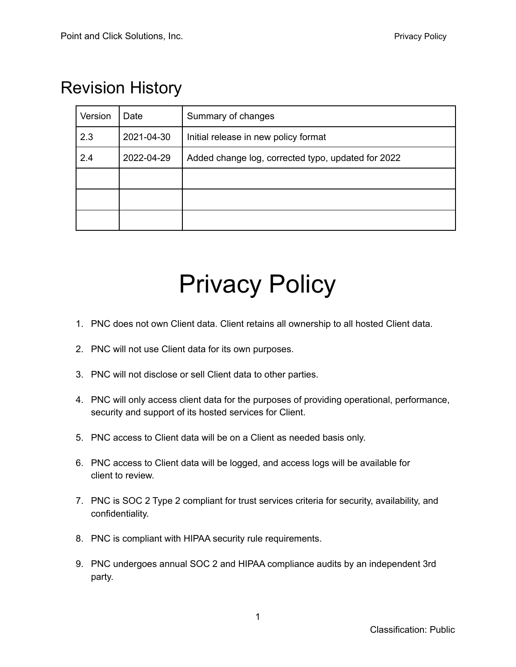## Revision History

| Version | Date       | Summary of changes                                 |
|---------|------------|----------------------------------------------------|
| 2.3     | 2021-04-30 | Initial release in new policy format               |
| 2.4     | 2022-04-29 | Added change log, corrected typo, updated for 2022 |
|         |            |                                                    |
|         |            |                                                    |
|         |            |                                                    |

## Privacy Policy

- 1. PNC does not own Client data. Client retains all ownership to all hosted Client data.
- 2. PNC will not use Client data for its own purposes.
- 3. PNC will not disclose or sell Client data to other parties.
- 4. PNC will only access client data for the purposes of providing operational, performance, security and support of its hosted services for Client.
- 5. PNC access to Client data will be on a Client as needed basis only.
- 6. PNC access to Client data will be logged, and access logs will be available for client to review.
- 7. PNC is SOC 2 Type 2 compliant for trust services criteria for security, availability, and confidentiality.
- 8. PNC is compliant with HIPAA security rule requirements.
- 9. PNC undergoes annual SOC 2 and HIPAA compliance audits by an independent 3rd party.